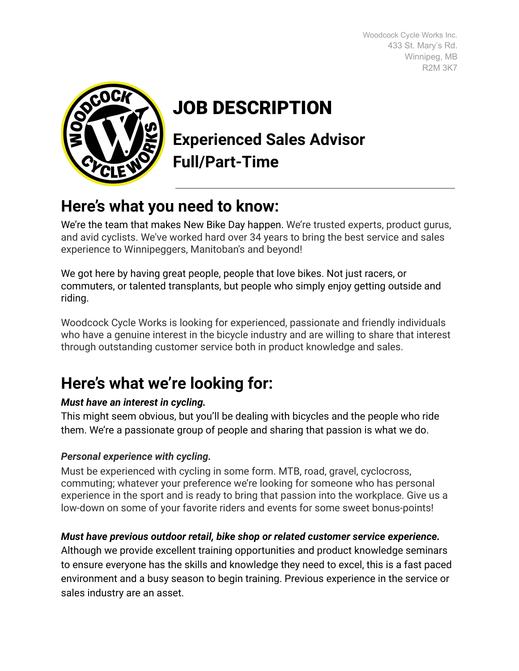Woodcock Cycle Works Inc. 433 St. Mary's Rd. Winnipeg, MB R2M 3K7



# JOB DESCRIPTION

**Experienced Sales Advisor Full/Part-Time**

# **Here's what you need to know:**

We're the team that makes New Bike Day happen. We're trusted experts, product gurus, and avid cyclists. We've worked hard over 34 years to bring the best service and sales experience to Winnipeggers, Manitoban's and beyond!

We got here by having great people, people that love bikes. Not just racers, or commuters, or talented transplants, but people who simply enjoy getting outside and riding.

Woodcock Cycle Works is looking for experienced, passionate and friendly individuals who have a genuine interest in the bicycle industry and are willing to share that interest through outstanding customer service both in product knowledge and sales.

# **Here's what we're looking for:**

# *Must have an interest in cycling.*

This might seem obvious, but you'll be dealing with bicycles and the people who ride them. We're a passionate group of people and sharing that passion is what we do.

# *Personal experience with cycling.*

Must be experienced with cycling in some form. MTB, road, gravel, cyclocross, commuting; whatever your preference we're looking for someone who has personal experience in the sport and is ready to bring that passion into the workplace. Give us a low-down on some of your favorite riders and events for some sweet bonus-points!

# *Must have previous outdoor retail, bike shop or related customer service experience.*

Although we provide excellent training opportunities and product knowledge seminars to ensure everyone has the skills and knowledge they need to excel, this is a fast paced environment and a busy season to begin training. Previous experience in the service or sales industry are an asset.